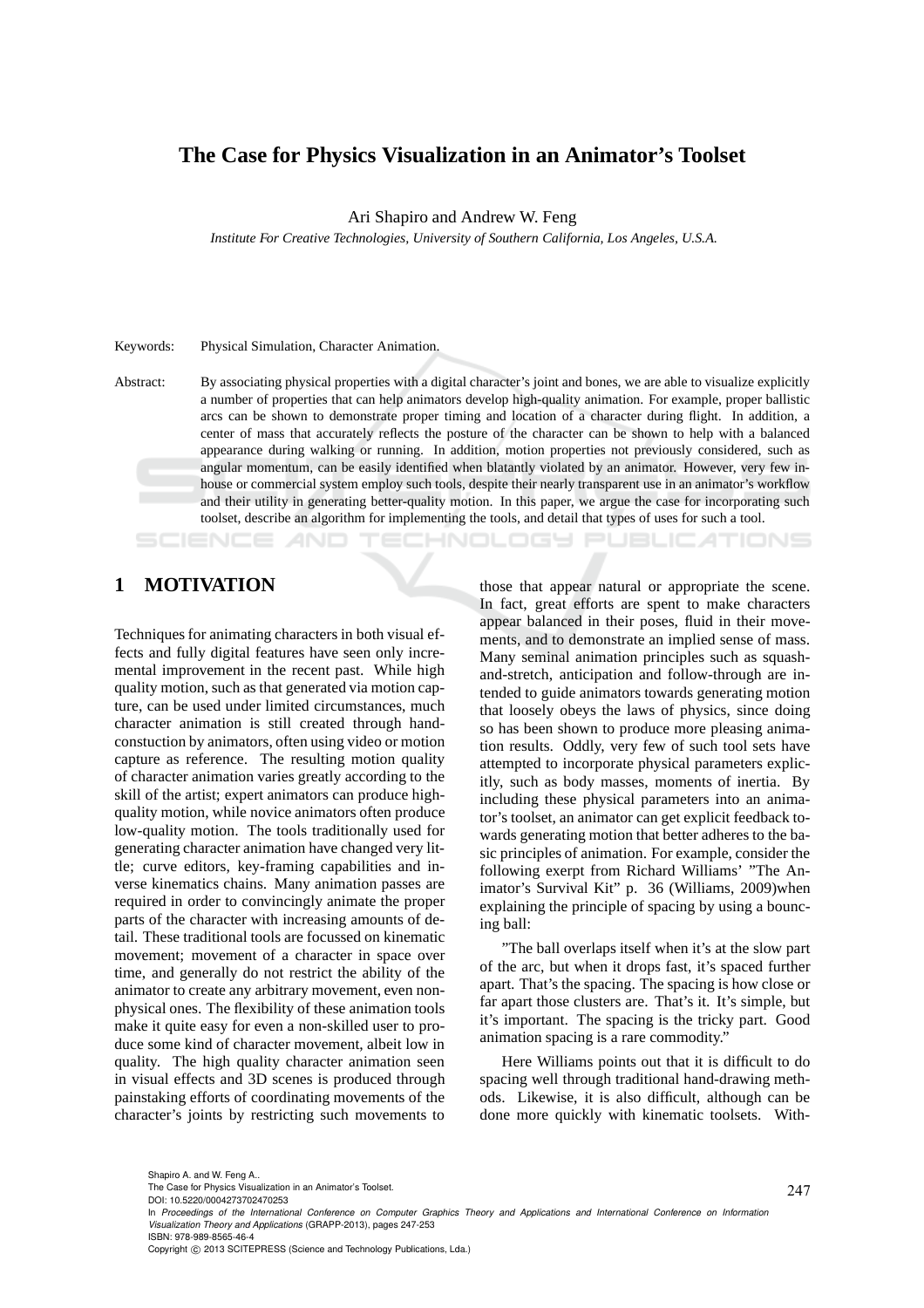### **The Case for Physics Visualization in an Animator's Toolset**

Ari Shapiro and Andrew W. Feng

*Institute For Creative Technologies, University of Southern California, Los Angeles, U.S.A.*

#### Keywords: Physical Simulation, Character Animation.

Abstract: By associating physical properties with a digital character's joint and bones, we are able to visualize explicitly a number of properties that can help animators develop high-quality animation. For example, proper ballistic arcs can be shown to demonstrate proper timing and location of a character during flight. In addition, a center of mass that accurately reflects the posture of the character can be shown to help with a balanced appearance during walking or running. In addition, motion properties not previously considered, such as angular momentum, can be easily identified when blatantly violated by an animator. However, very few inhouse or commercial system employ such tools, despite their nearly transparent use in an animator's workflow and their utility in generating better-quality motion. In this paper, we argue the case for incorporating such toolset, describe an algorithm for implementing the tools, and detail that types of uses for such a tool.

## **1 MOTIVATION**

Techniques for animating characters in both visual effects and fully digital features have seen only incremental improvement in the recent past. While high quality motion, such as that generated via motion capture, can be used under limited circumstances, much character animation is still created through handconstuction by animators, often using video or motion capture as reference. The resulting motion quality of character animation varies greatly according to the skill of the artist; expert animators can produce highquality motion, while novice animators often produce low-quality motion. The tools traditionally used for generating character animation have changed very little; curve editors, key-framing capabilities and inverse kinematics chains. Many animation passes are required in order to convincingly animate the proper parts of the character with increasing amounts of detail. These traditional tools are focussed on kinematic movement; movement of a character in space over time, and generally do not restrict the ability of the animator to create any arbitrary movement, even nonphysical ones. The flexibility of these animation tools make it quite easy for even a non-skilled user to produce some kind of character movement, albeit low in quality. The high quality character animation seen in visual effects and 3D scenes is produced through painstaking efforts of coordinating movements of the character's joints by restricting such movements to

those that appear natural or appropriate the scene. In fact, great efforts are spent to make characters appear balanced in their poses, fluid in their movements, and to demonstrate an implied sense of mass. Many seminal animation principles such as squashand-stretch, anticipation and follow-through are intended to guide animators towards generating motion that loosely obeys the laws of physics, since doing so has been shown to produce more pleasing animation results. Oddly, very few of such tool sets have attempted to incorporate physical parameters explicitly, such as body masses, moments of inertia. By including these physical parameters into an animator's toolset, an animator can get explicit feedback towards generating motion that better adheres to the basic principles of animation. For example, consider the following exerpt from Richard Williams' "The Animator's Survival Kit" p. 36 (Williams, 2009)when explaining the principle of spacing by using a bouncing ball:

ECHNOLOGY PUBLIC ATIONS

"The ball overlaps itself when it's at the slow part of the arc, but when it drops fast, it's spaced further apart. That's the spacing. The spacing is how close or far apart those clusters are. That's it. It's simple, but it's important. The spacing is the tricky part. Good animation spacing is a rare commodity."

Here Williams points out that it is difficult to do spacing well through traditional hand-drawing methods. Likewise, it is also difficult, although can be done more quickly with kinematic toolsets. With-

The Case for Physics Visualization in an Animator's Toolset.

DOI: 10.5220/0004273702470253

Copyright © 2013 SCITEPRESS (Science and Technology Publications, Lda.)

In *Proceedings of the International Conference on Computer Graphics Theory and Applications and International Conference on Information Visualization Theory and Applications* (GRAPP-2013), pages 247-253 ISBN: 978-989-8565-46-4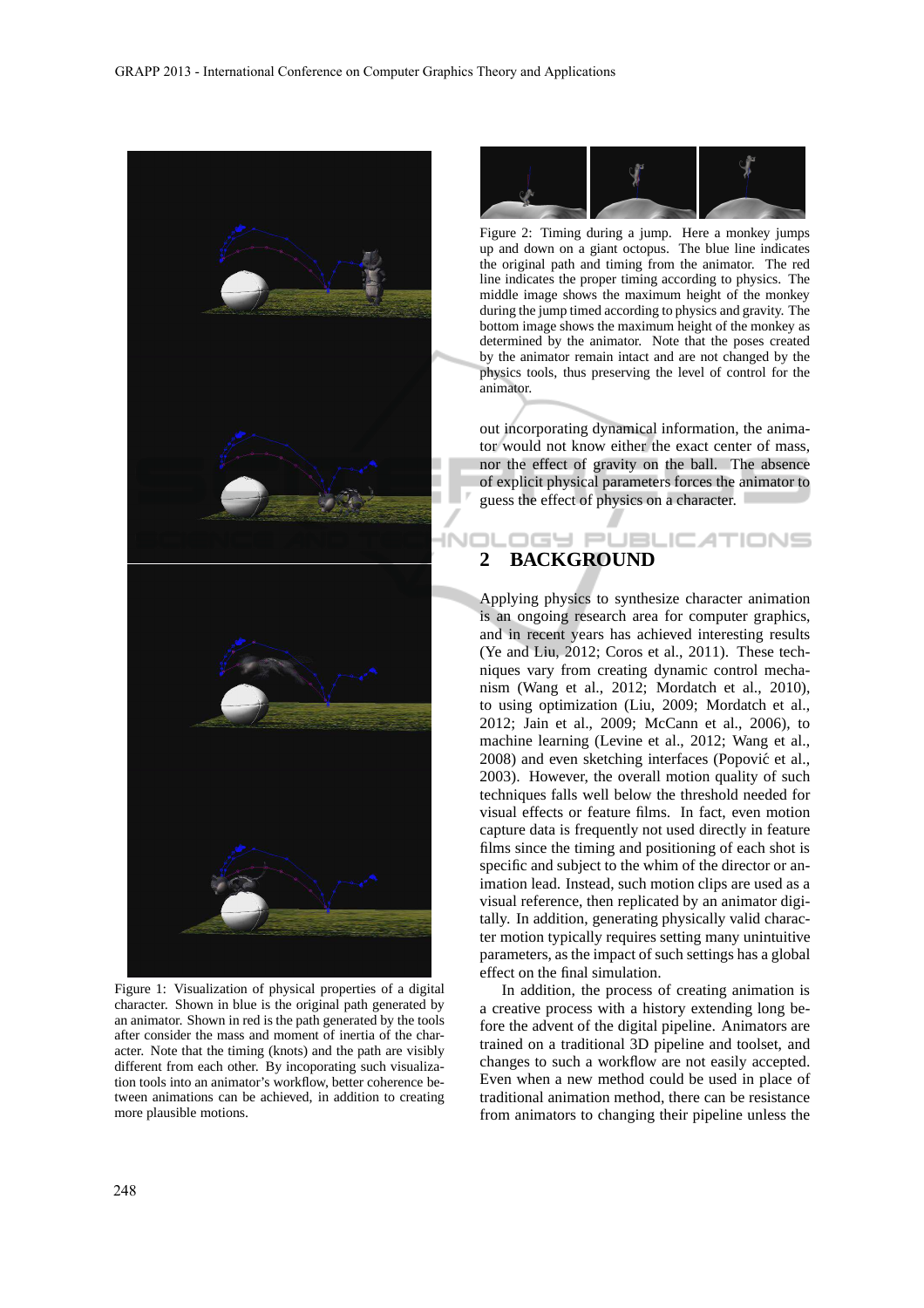

Figure 1: Visualization of physical properties of a digital character. Shown in blue is the original path generated by an animator. Shown in red is the path generated by the tools after consider the mass and moment of inertia of the character. Note that the timing (knots) and the path are visibly different from each other. By incoporating such visualization tools into an animator's workflow, better coherence between animations can be achieved, in addition to creating more plausible motions.



Figure 2: Timing during a jump. Here a monkey jumps up and down on a giant octopus. The blue line indicates the original path and timing from the animator. The red line indicates the proper timing according to physics. The middle image shows the maximum height of the monkey during the jump timed according to physics and gravity. The bottom image shows the maximum height of the monkey as determined by the animator. Note that the poses created by the animator remain intact and are not changed by the physics tools, thus preserving the level of control for the animator.

out incorporating dynamical information, the animator would not know either the exact center of mass, nor the effect of gravity on the ball. The absence of explicit physical parameters forces the animator to guess the effect of physics on a character.

### IGY PUBLIC ATIONS **2 BACKGROUND**

Applying physics to synthesize character animation is an ongoing research area for computer graphics, and in recent years has achieved interesting results (Ye and Liu, 2012; Coros et al., 2011). These techniques vary from creating dynamic control mechanism (Wang et al., 2012; Mordatch et al., 2010), to using optimization (Liu, 2009; Mordatch et al., 2012; Jain et al., 2009; McCann et al., 2006), to machine learning (Levine et al., 2012; Wang et al., 2008) and even sketching interfaces (Popović et al., 2003). However, the overall motion quality of such techniques falls well below the threshold needed for visual effects or feature films. In fact, even motion capture data is frequently not used directly in feature films since the timing and positioning of each shot is specific and subject to the whim of the director or animation lead. Instead, such motion clips are used as a visual reference, then replicated by an animator digitally. In addition, generating physically valid character motion typically requires setting many unintuitive parameters, as the impact of such settings has a global effect on the final simulation.

In addition, the process of creating animation is a creative process with a history extending long before the advent of the digital pipeline. Animators are trained on a traditional 3D pipeline and toolset, and changes to such a workflow are not easily accepted. Even when a new method could be used in place of traditional animation method, there can be resistance from animators to changing their pipeline unless the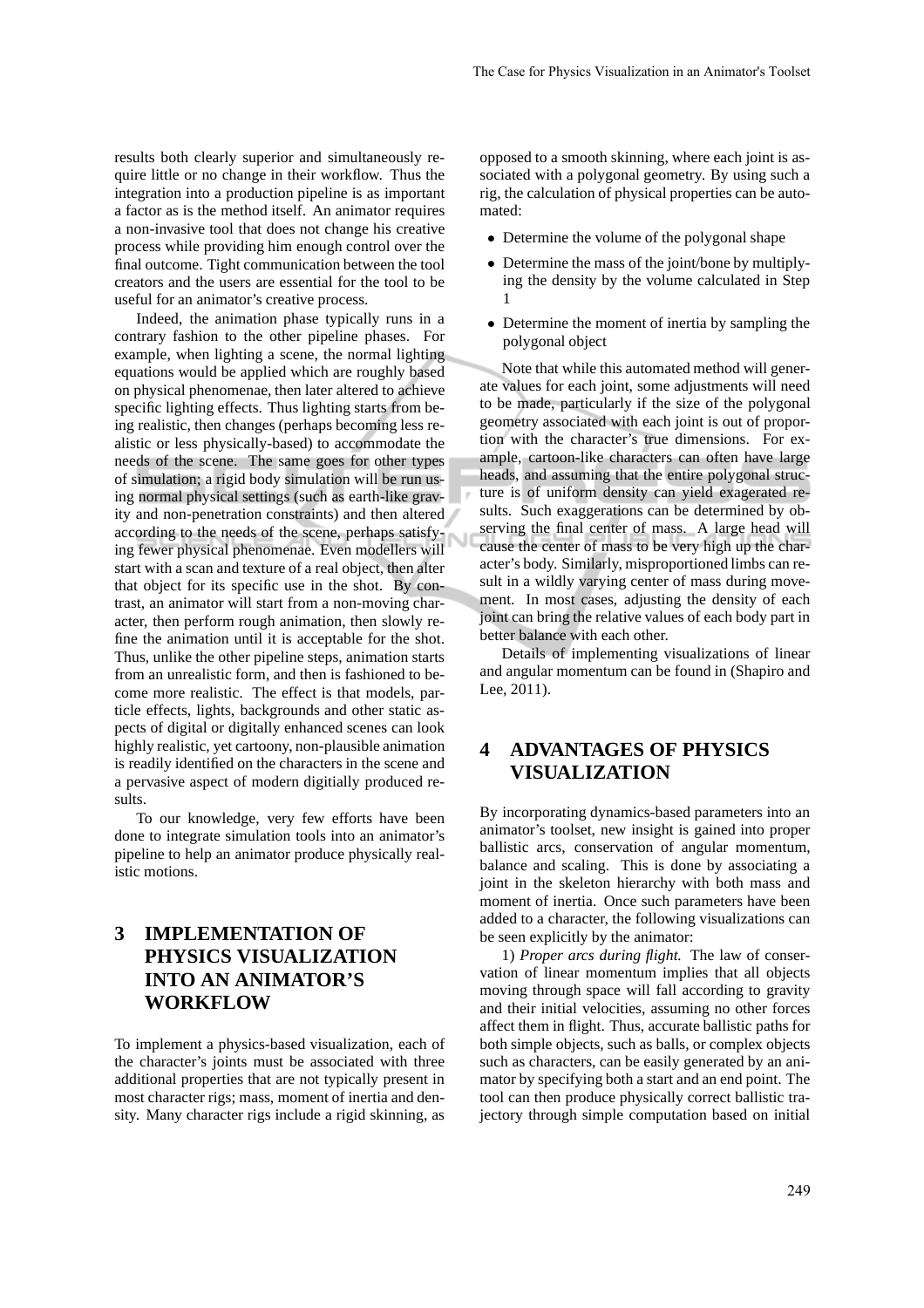results both clearly superior and simultaneously require little or no change in their workflow. Thus the integration into a production pipeline is as important a factor as is the method itself. An animator requires a non-invasive tool that does not change his creative process while providing him enough control over the final outcome. Tight communication between the tool creators and the users are essential for the tool to be useful for an animator's creative process.

Indeed, the animation phase typically runs in a contrary fashion to the other pipeline phases. For example, when lighting a scene, the normal lighting equations would be applied which are roughly based on physical phenomenae, then later altered to achieve specific lighting effects. Thus lighting starts from being realistic, then changes (perhaps becoming less realistic or less physically-based) to accommodate the needs of the scene. The same goes for other types of simulation; a rigid body simulation will be run using normal physical settings (such as earth-like gravity and non-penetration constraints) and then altered according to the needs of the scene, perhaps satisfying fewer physical phenomenae. Even modellers will start with a scan and texture of a real object, then alter that object for its specific use in the shot. By contrast, an animator will start from a non-moving character, then perform rough animation, then slowly refine the animation until it is acceptable for the shot. Thus, unlike the other pipeline steps, animation starts from an unrealistic form, and then is fashioned to become more realistic. The effect is that models, particle effects, lights, backgrounds and other static aspects of digital or digitally enhanced scenes can look highly realistic, yet cartoony, non-plausible animation is readily identified on the characters in the scene and a pervasive aspect of modern digitially produced results.

To our knowledge, very few efforts have been done to integrate simulation tools into an animator's pipeline to help an animator produce physically realistic motions.

# **3 IMPLEMENTATION OF PHYSICS VISUALIZATION INTO AN ANIMATOR'S WORKFLOW**

To implement a physics-based visualization, each of the character's joints must be associated with three additional properties that are not typically present in most character rigs; mass, moment of inertia and density. Many character rigs include a rigid skinning, as opposed to a smooth skinning, where each joint is associated with a polygonal geometry. By using such a rig, the calculation of physical properties can be automated:

- Determine the volume of the polygonal shape
- Determine the mass of the joint/bone by multiplying the density by the volume calculated in Step 1
- Determine the moment of inertia by sampling the polygonal object

Note that while this automated method will generate values for each joint, some adjustments will need to be made, particularly if the size of the polygonal geometry associated with each joint is out of proportion with the character's true dimensions. For example, cartoon-like characters can often have large heads, and assuming that the entire polygonal structure is of uniform density can yield exagerated results. Such exaggerations can be determined by observing the final center of mass. A large head will cause the center of mass to be very high up the character's body. Similarly, misproportioned limbs can result in a wildly varying center of mass during movement. In most cases, adjusting the density of each joint can bring the relative values of each body part in better balance with each other.

Details of implementing visualizations of linear and angular momentum can be found in (Shapiro and Lee, 2011).

### **4 ADVANTAGES OF PHYSICS VISUALIZATION**

By incorporating dynamics-based parameters into an animator's toolset, new insight is gained into proper ballistic arcs, conservation of angular momentum, balance and scaling. This is done by associating a joint in the skeleton hierarchy with both mass and moment of inertia. Once such parameters have been added to a character, the following visualizations can be seen explicitly by the animator:

1) *Proper arcs during flight.* The law of conservation of linear momentum implies that all objects moving through space will fall according to gravity and their initial velocities, assuming no other forces affect them in flight. Thus, accurate ballistic paths for both simple objects, such as balls, or complex objects such as characters, can be easily generated by an animator by specifying both a start and an end point. The tool can then produce physically correct ballistic trajectory through simple computation based on initial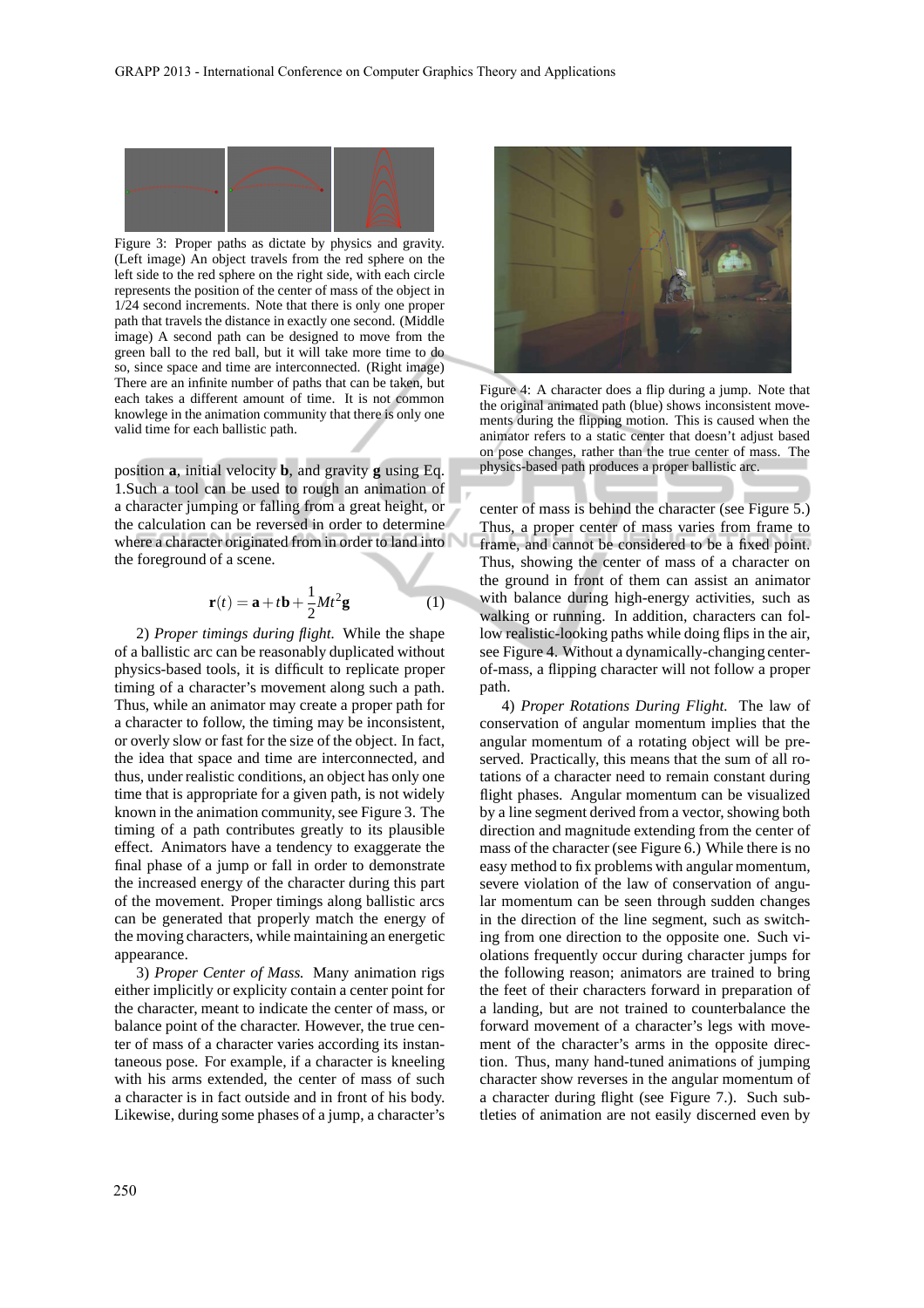

Figure 3: Proper paths as dictate by physics and gravity. (Left image) An object travels from the red sphere on the left side to the red sphere on the right side, with each circle represents the position of the center of mass of the object in 1/24 second increments. Note that there is only one proper path that travels the distance in exactly one second. (Middle image) A second path can be designed to move from the green ball to the red ball, but it will take more time to do so, since space and time are interconnected. (Right image) There are an infinite number of paths that can be taken, but each takes a different amount of time. It is not common knowlege in the animation community that there is only one valid time for each ballistic path.

position **a**, initial velocity **b**, and gravity **g** using Eq. 1.Such a tool can be used to rough an animation of a character jumping or falling from a great height, or the calculation can be reversed in order to determine where a character originated from in order to land into the foreground of a scene.

$$
\mathbf{r}(t) = \mathbf{a} + t\mathbf{b} + \frac{1}{2}Mt^2\mathbf{g}
$$
 (1)

2) *Proper timings during flight.* While the shape of a ballistic arc can be reasonably duplicated without physics-based tools, it is difficult to replicate proper timing of a character's movement along such a path. Thus, while an animator may create a proper path for a character to follow, the timing may be inconsistent, or overly slow or fast for the size of the object. In fact, the idea that space and time are interconnected, and thus, under realistic conditions, an object has only one time that is appropriate for a given path, is not widely known in the animation community, see Figure 3. The timing of a path contributes greatly to its plausible effect. Animators have a tendency to exaggerate the final phase of a jump or fall in order to demonstrate the increased energy of the character during this part of the movement. Proper timings along ballistic arcs can be generated that properly match the energy of the moving characters, while maintaining an energetic appearance.

3) *Proper Center of Mass.* Many animation rigs either implicitly or explicity contain a center point for the character, meant to indicate the center of mass, or balance point of the character. However, the true center of mass of a character varies according its instantaneous pose. For example, if a character is kneeling with his arms extended, the center of mass of such a character is in fact outside and in front of his body. Likewise, during some phases of a jump, a character's



Figure 4: A character does a flip during a jump. Note that the original animated path (blue) shows inconsistent movements during the flipping motion. This is caused when the animator refers to a static center that doesn't adjust based on pose changes, rather than the true center of mass. The physics-based path produces a proper ballistic arc.

center of mass is behind the character (see Figure 5.) Thus, a proper center of mass varies from frame to frame, and cannot be considered to be a fixed point. Thus, showing the center of mass of a character on the ground in front of them can assist an animator with balance during high-energy activities, such as walking or running. In addition, characters can follow realistic-looking paths while doing flips in the air, see Figure 4. Without a dynamically-changing centerof-mass, a flipping character will not follow a proper path.

4) *Proper Rotations During Flight.* The law of conservation of angular momentum implies that the angular momentum of a rotating object will be preserved. Practically, this means that the sum of all rotations of a character need to remain constant during flight phases. Angular momentum can be visualized by a line segment derived from a vector, showing both direction and magnitude extending from the center of mass of the character (see Figure 6.) While there is no easy method to fix problems with angular momentum, severe violation of the law of conservation of angular momentum can be seen through sudden changes in the direction of the line segment, such as switching from one direction to the opposite one. Such violations frequently occur during character jumps for the following reason; animators are trained to bring the feet of their characters forward in preparation of a landing, but are not trained to counterbalance the forward movement of a character's legs with movement of the character's arms in the opposite direction. Thus, many hand-tuned animations of jumping character show reverses in the angular momentum of a character during flight (see Figure 7.). Such subtleties of animation are not easily discerned even by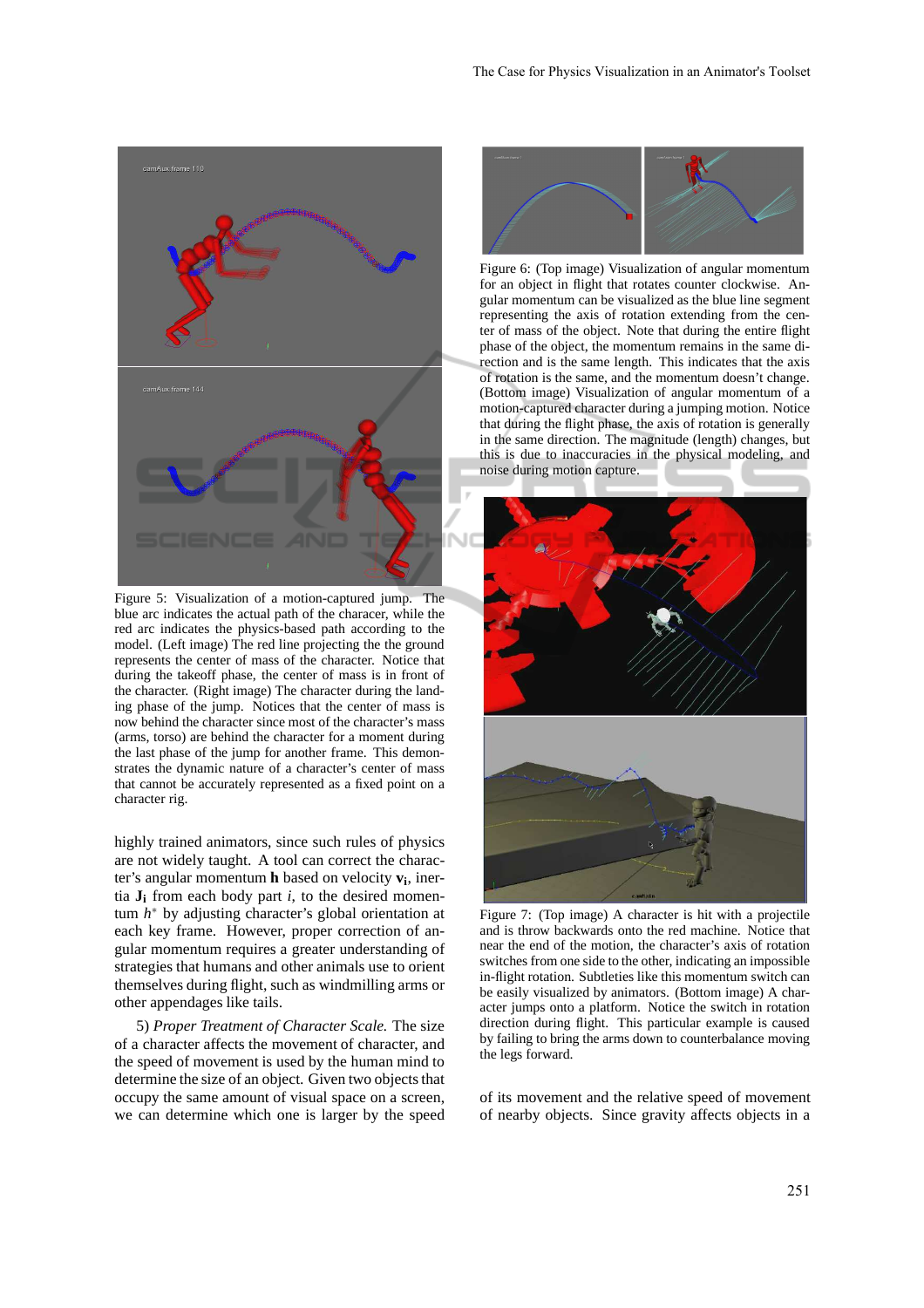

Figure 5: Visualization of a motion-captured jump. The blue arc indicates the actual path of the characer, while the red arc indicates the physics-based path according to the model. (Left image) The red line projecting the the ground represents the center of mass of the character. Notice that during the takeoff phase, the center of mass is in front of the character. (Right image) The character during the landing phase of the jump. Notices that the center of mass is now behind the character since most of the character's mass (arms, torso) are behind the character for a moment during the last phase of the jump for another frame. This demonstrates the dynamic nature of a character's center of mass that cannot be accurately represented as a fixed point on a character rig.

highly trained animators, since such rules of physics are not widely taught. A tool can correct the character's angular momentum **h** based on velocity **v<sup>i</sup>** , inertia  $J_i$  from each body part *i*, to the desired momentum *h* <sup>∗</sup> by adjusting character's global orientation at each key frame. However, proper correction of angular momentum requires a greater understanding of strategies that humans and other animals use to orient themselves during flight, such as windmilling arms or other appendages like tails.

5) *Proper Treatment of Character Scale.* The size of a character affects the movement of character, and the speed of movement is used by the human mind to determine the size of an object. Given two objects that occupy the same amount of visual space on a screen, we can determine which one is larger by the speed



Figure 6: (Top image) Visualization of angular momentum for an object in flight that rotates counter clockwise. Angular momentum can be visualized as the blue line segment representing the axis of rotation extending from the center of mass of the object. Note that during the entire flight phase of the object, the momentum remains in the same direction and is the same length. This indicates that the axis of rotation is the same, and the momentum doesn't change. (Bottom image) Visualization of angular momentum of a motion-captured character during a jumping motion. Notice that during the flight phase, the axis of rotation is generally in the same direction. The magnitude (length) changes, but this is due to inaccuracies in the physical modeling, and noise during motion capture.



Figure 7: (Top image) A character is hit with a projectile and is throw backwards onto the red machine. Notice that near the end of the motion, the character's axis of rotation switches from one side to the other, indicating an impossible in-flight rotation. Subtleties like this momentum switch can be easily visualized by animators. (Bottom image) A character jumps onto a platform. Notice the switch in rotation direction during flight. This particular example is caused by failing to bring the arms down to counterbalance moving the legs forward.

of its movement and the relative speed of movement of nearby objects. Since gravity affects objects in a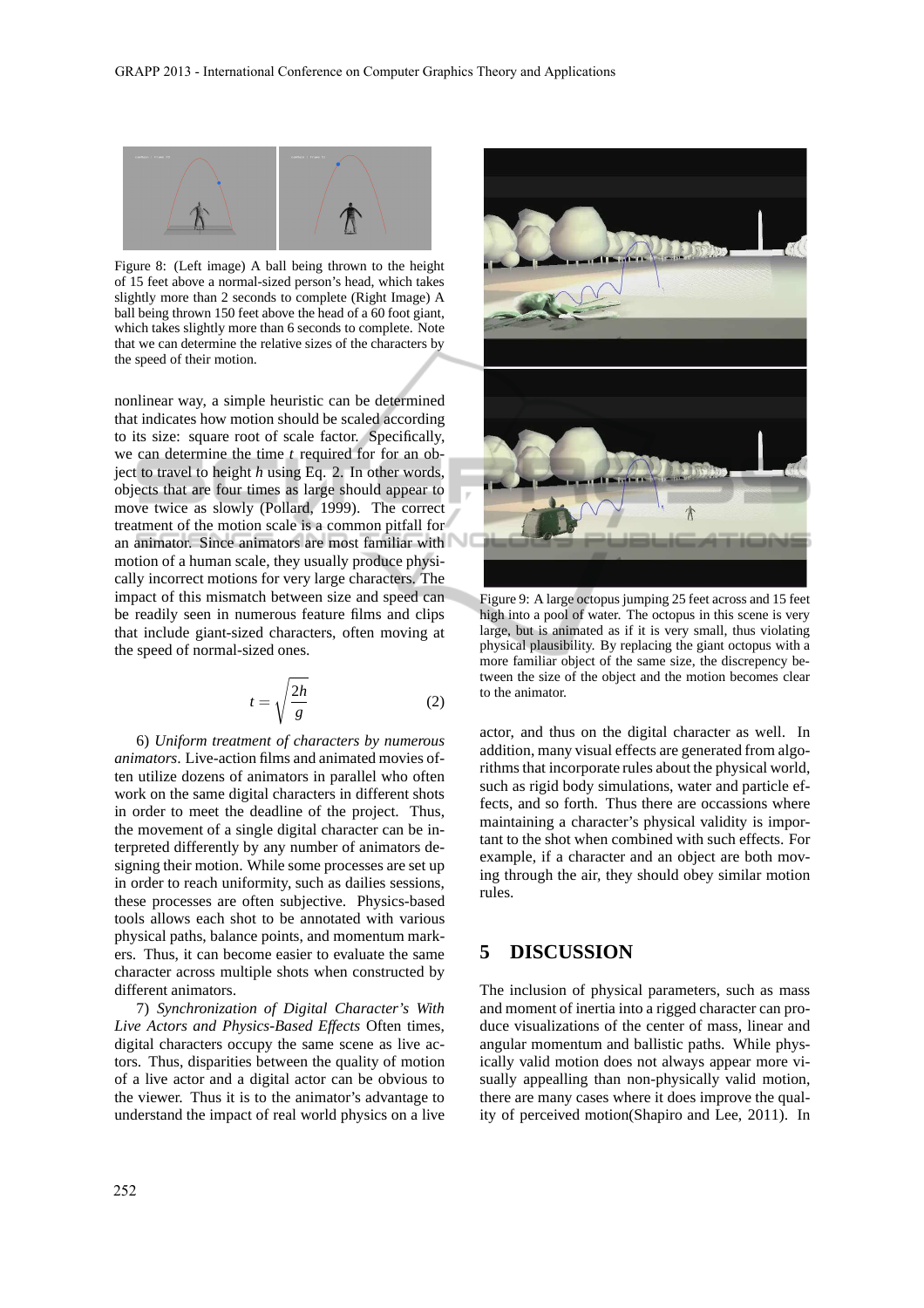

Figure 8: (Left image) A ball being thrown to the height of 15 feet above a normal-sized person's head, which takes slightly more than 2 seconds to complete (Right Image) A ball being thrown 150 feet above the head of a 60 foot giant, which takes slightly more than 6 seconds to complete. Note that we can determine the relative sizes of the characters by the speed of their motion.

nonlinear way, a simple heuristic can be determined that indicates how motion should be scaled according to its size: square root of scale factor. Specifically, we can determine the time *t* required for for an object to travel to height *h* using Eq. 2. In other words, objects that are four times as large should appear to move twice as slowly (Pollard, 1999). The correct treatment of the motion scale is a common pitfall for an animator. Since animators are most familiar with motion of a human scale, they usually produce physically incorrect motions for very large characters. The impact of this mismatch between size and speed can be readily seen in numerous feature films and clips that include giant-sized characters, often moving at the speed of normal-sized ones.

$$
t = \sqrt{\frac{2h}{g}}\tag{2}
$$

6) *Uniform treatment of characters by numerous animators*. Live-action films and animated movies often utilize dozens of animators in parallel who often work on the same digital characters in different shots in order to meet the deadline of the project. Thus, the movement of a single digital character can be interpreted differently by any number of animators designing their motion. While some processes are set up in order to reach uniformity, such as dailies sessions, these processes are often subjective. Physics-based tools allows each shot to be annotated with various physical paths, balance points, and momentum markers. Thus, it can become easier to evaluate the same character across multiple shots when constructed by different animators.

7) *Synchronization of Digital Character's With Live Actors and Physics-Based Effects* Often times, digital characters occupy the same scene as live actors. Thus, disparities between the quality of motion of a live actor and a digital actor can be obvious to the viewer. Thus it is to the animator's advantage to understand the impact of real world physics on a live



Figure 9: A large octopus jumping 25 feet across and 15 feet high into a pool of water. The octopus in this scene is very large, but is animated as if it is very small, thus violating physical plausibility. By replacing the giant octopus with a more familiar object of the same size, the discrepency between the size of the object and the motion becomes clear to the animator.

actor, and thus on the digital character as well. In addition, many visual effects are generated from algorithms that incorporate rules about the physical world, such as rigid body simulations, water and particle effects, and so forth. Thus there are occassions where maintaining a character's physical validity is important to the shot when combined with such effects. For example, if a character and an object are both moving through the air, they should obey similar motion rules.

### **5 DISCUSSION**

The inclusion of physical parameters, such as mass and moment of inertia into a rigged character can produce visualizations of the center of mass, linear and angular momentum and ballistic paths. While physically valid motion does not always appear more visually appealling than non-physically valid motion, there are many cases where it does improve the quality of perceived motion(Shapiro and Lee, 2011). In